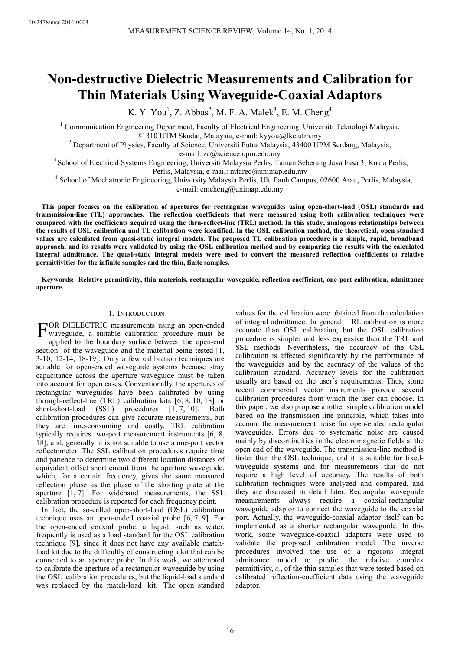# **Non-destructive Dielectric Measurements and Calibration for Thin Materials Using Waveguide-Coaxial Adaptors**

K. Y. You<sup>1</sup>, Z. Abbas<sup>2</sup>, M. F. A. Malek<sup>3</sup>, E. M. Cheng<sup>4</sup>

<sup>1</sup> Communication Engineering Department, Faculty of Electrical Engineering, Universiti Teknologi Malaysia, 81310 UTM Skudai, Malaysia, e-mail: kyyou@fke.utm.my

<sup>2</sup> Department of Physics, Faculty of Science, Universiti Putra Malaysia, 43400 UPM Serdang, Malaysia, e-mail: za@science.upm.edu.my

<sup>3</sup> School of Electrical Systems Engineering, Universiti Malaysia Perlis, Taman Seberang Jaya Fasa 3, Kuala Perlis, Perlis, Malaysia, e-mail: mfareq@unimap.edu.my

4 School of Mechatronic Engineering, University Malaysia Perlis, Ulu Pauh Campus, 02600 Arau, Perlis, Malaysia, e-mail: emcheng@unimap.edu.my

**This paper focuses on the calibration of apertures for rectangular waveguides using open-short-load (OSL) standards and transmission-line (TL) approaches. The reflection coefficients that were measured using both calibration techniques were compared with the coefficients acquired using the thru-reflect-line (TRL) method. In this study, analogous relationships between the results of OSL calibration and TL calibration were identified. In the OSL calibration method, the theoretical, open-standard values are calculated from quasi-static integral models. The proposed TL calibration procedure is a simple, rapid, broadband approach, and its results were validated by using the OSL calibration method and by comparing the results with the calculated integral admittance. The quasi-static integral models were used to convert the measured reflection coefficients to relative permittivities for the infinite samples and the thin, finite samples.** 

**Keywords: Relative permittivity, thin materials, rectangular waveguide, reflection coefficient, one-port calibration, admittance aperture.** 

### 1. INTRODUCTION

OR DIELECTRIC measurements using an open-ended FOR DIELECTRIC measurements using an open-ended<br>waveguide, a suitable calibration procedure must be<br>applied to the boundary surface between the open and applied to the boundary surface between the open-end section of the waveguide and the material being tested [1, 3-10, 12-14, 18-19]. Only a few calibration techniques are suitable for open-ended waveguide systems because stray capacitance across the aperture waveguide must be taken into account for open cases. Conventionally, the apertures of rectangular waveguides have been calibrated by using through-reflect-line (TRL) calibration kits [6, 8, 10, 18] or short-short-load (SSL) procedures [1, 7, 10]. Both calibration procedures can give accurate measurements, but they are time-consuming and costly. TRL calibration typically requires two-port measurement instruments [6, 8, 18], and, generally, it is not suitable to use a one-port vector reflectometer. The SSL calibration procedures require time and patience to determine two different location distances of equivalent offset short circuit from the aperture waveguide, which, for a certain frequency, gives the same measured reflection phase as the phase of the shorting plate at the aperture [1, 7]. For wideband measurements, the SSL calibration procedure is repeated for each frequency point.

In fact, the so-called open-short-load (OSL) calibration technique uses an open-ended coaxial probe [6, 7, 9]. For the open-ended coaxial probe, a liquid, such as water, frequently is used as a load standard for the OSL calibration technique [9], since it does not have any available matchload kit due to the difficultly of constructing a kit that can be connected to an aperture probe. In this work, we attempted to calibrate the aperture of a rectangular waveguide by using the OSL calibration procedures, but the liquid-load standard was replaced by the match-load kit. The open standard

values for the calibration were obtained from the calculation of integral admittance. In general, TRL calibration is more accurate than OSL calibration, but the OSL calibration procedure is simpler and less expensive than the TRL and SSL methods. Nevertheless, the accuracy of the OSL calibration is affected significantly by the performance of the waveguides and by the accuracy of the values of the calibration standard. Accuracy levels for the calibration usually are based on the user's requirements. Thus, some recent commercial vector instruments provide several calibration procedures from which the user can choose. In this paper, we also propose another simple calibration model based on the transmission-line principle, which takes into account the measurement noise for open-ended rectangular waveguides. Errors due to systematic noise are caused mainly by discontinuities in the electromagnetic fields at the open end of the waveguide. The transmission-line method is faster than the OSL technique, and it is suitable for fixedwaveguide systems and for measurements that do not require a high level of accuracy. The results of both calibration techniques were analyzed and compared, and they are discussed in detail later. Rectangular waveguide measurements always require a coaxial-rectangular waveguide adaptor to connect the waveguide to the coaxial port. Actually, the waveguide-coaxial adaptor itself can be implemented as a shorter rectangular waveguide. In this work, some waveguide-coaxial adaptors were used to validate the proposed calibration model. The inverse procedures involved the use of a rigorous integral admittance model to predict the relative complex permittivity, *ε<sup>r</sup>* , of the thin samples that were tested based on calibrated reflection-coefficient data using the waveguide adaptor.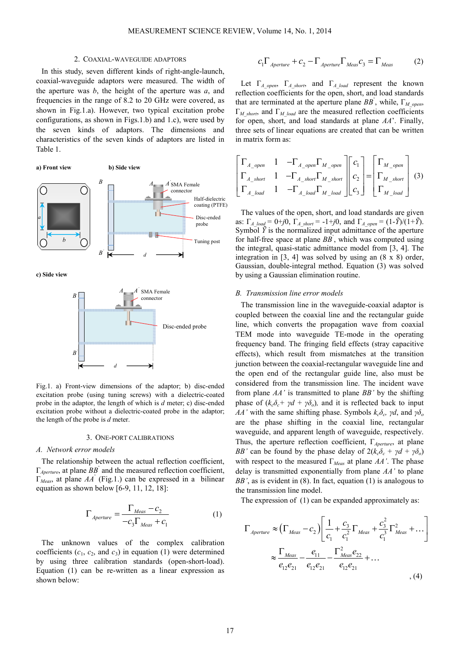### 2. COAXIAL-WAVEGUIDE ADAPTORS

In this study, seven different kinds of right-angle-launch, coaxial-waveguide adaptors were measured. The width of the aperture was *b*, the height of the aperture was *a*, and frequencies in the range of 8.2 to 20 GHz were covered, as shown in Fig.1.a). However, two typical excitation probe configurations, as shown in Figs.1.b) and 1.c), were used by the seven kinds of adaptors. The dimensions and characteristics of the seven kinds of adaptors are listed in Table 1.

#### **a) Front view b) Side view**



**c) Side view** 



Fig.1. a) Front-view dimensions of the adaptor; b) disc-ended excitation probe (using tuning screws) with a dielectric-coated probe in the adaptor, the length of which is *d* meter; c) disc-ended excitation probe without a dielectric-coated probe in the adaptor; the length of the probe is *d* meter.

### 3. ONE-PORT CALIBRATIONS

#### *A. Network error models*

The relationship between the actual reflection coefficient,  $\Gamma_{\text{Aperture}}$ , at plane  $\overline{BB}$  and the measured reflection coefficient, Γ*Meas*, at plane *AA*' (Fig.1.) can be expressed in a bilinear equation as shown below [6-9, 11, 12, 18]:

$$
\Gamma_{\text{Aperture}} = \frac{\Gamma_{\text{Meas}} - c_2}{-c_3 \Gamma_{\text{Meas}} + c_1} \tag{1}
$$

The unknown values of the complex calibration coefficients  $(c_1, c_2, \text{ and } c_3)$  in equation (1) were determined by using three calibration standards (open-short-load). Equation (1) can be re-written as a linear expression as shown below:

$$
c_1 \Gamma_{\text{Aperture}} + c_2 - \Gamma_{\text{Aperture}} \Gamma_{\text{Meas}} c_3 = \Gamma_{\text{Meas}} \tag{2}
$$

Let  $\Gamma_A$ <sub>open</sub>,  $\Gamma_A$ <sub>short</sub>, and  $\Gamma_A$ <sub>load</sub> represent the known reflection coefficients for the open, short, and load standards that are terminated at the aperture plane  $BB$ <sup>'</sup>, while,  $\Gamma_{M\_open}$ ,  $\Gamma_M$ <sub>short</sub>, and  $\Gamma_M$ <sub>load</sub> are the measured reflection coefficients for open, short, and load standards at plane *AA*'. Finally, three sets of linear equations are created that can be written in matrix form as:

$$
\begin{bmatrix}\n\Gamma_{A\_open} & 1 & -\Gamma_{A\_open}\Gamma_{M\_open} \\
\Gamma_{A\_short} & 1 & -\Gamma_{A\_short}\Gamma_{M\_short} \\
\Gamma_{A\_load} & 1 & -\Gamma_{A\_load}\Gamma_{M\_load}\n\end{bmatrix}\n\begin{bmatrix}\nc_1 \\
c_2 \\
c_3\n\end{bmatrix} = \n\begin{bmatrix}\n\Gamma_{M\_open} \\
\Gamma_{M\_short} \\
\Gamma_{M\_load}\n\end{bmatrix}
$$
\n(3)

The values of the open, short, and load standards are given as:  $\Gamma_{A\;load} = 0 + j0$ ,  $\Gamma_{A\;short} = -1 + j0$ , and  $\Gamma_{A\;open} = (1 - \tilde{Y})/(1 + \tilde{Y})$ . Symbol  $\ddot{Y}$  is the normalized input admittance of the aperture for half-free space at plane *BB*' , which was computed using the integral, quasi-static admittance model from [3, 4]. The integration in [3, 4] was solved by using an (8 x 8) order, Gaussian, double-integral method. Equation (3) was solved by using a Gaussian elimination routine.

### *B. Transmission line error models*

The transmission line in the waveguide-coaxial adaptor is coupled between the coaxial line and the rectangular guide line, which converts the propagation wave from coaxial TEM mode into waveguide TE-mode in the operating frequency band. The fringing field effects (stray capacitive effects), which result from mismatches at the transition junction between the coaxial-rectangular waveguide line and the open end of the rectangular guide line, also must be considered from the transmission line. The incident wave from plane *AA'* is transmitted to plane *BB'* by the shifting phase of  $(k_c \delta_c + \gamma d + \gamma \delta_o)$ , and it is reflected back to input *AA'* with the same shifting phase. Symbols  $k_c \delta_c$ , γd, and γ $\delta_o$ are the phase shifting in the coaxial line, rectangular waveguide, and apparent length of waveguide, respectively. Thus, the aperture reflection coefficient, Γ*Aperture*, at plane *BB'* can be found by the phase delay of  $2(k_c\delta_c + \gamma d + \gamma \delta_o)$ with respect to the measured Γ*Meas* at plane *AA'*. The phase delay is transmitted exponentially from plane *AA'* to plane *BB'*, as is evident in (8). In fact, equation (1) is analogous to the transmission line model.

The expression of (1) can be expanded approximately as:

$$
\Gamma_{\text{Aperture}} \approx \left(\Gamma_{\text{Meas}} - c_2\right) \left[\frac{1}{c_1} + \frac{c_3}{c_1^2} \Gamma_{\text{Meas}} + \frac{c_3^2}{c_1^3} \Gamma_{\text{Meas}}^2 + \dots\right]
$$
\n
$$
\approx \frac{\Gamma_{\text{Meas}}}{e_{12}e_{21}} - \frac{e_{11}}{e_{12}e_{21}} - \frac{\Gamma_{\text{Meas}}^2 e_{22}}{e_{12}e_{21}} + \dots
$$
\n(4)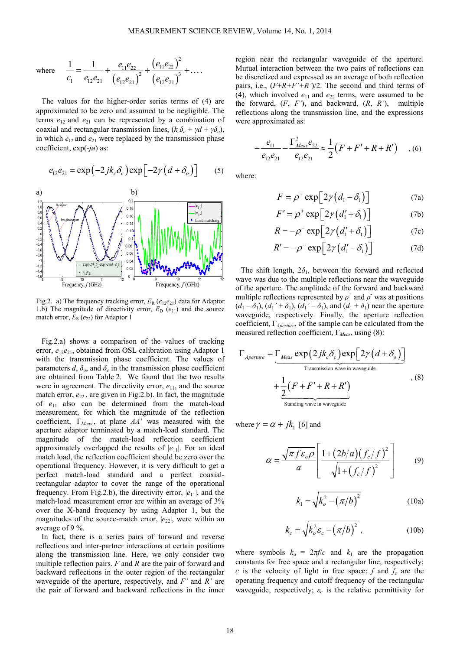where 
$$
\frac{1}{c_1} = \frac{1}{e_{12}e_{21}} + \frac{e_{11}e_{22}}{(e_{12}e_{21})^2} + \frac{(e_{11}e_{22})^2}{(e_{12}e_{21})^3} + \dots
$$

The values for the higher-order series terms of (4) are approximated to be zero and assumed to be negligible. The terms  $e_{12}$  and  $e_{21}$  can be represented by a combination of coaxial and rectangular transmission lines,  $(k_c \delta_c + \gamma d + \gamma \delta_o)$ , in which  $e_{12}$  and  $e_{21}$  were replaced by the transmission phase coefficient, exp(-*jø*) as:

$$
e_{12}e_{21} = \exp(-2jk_c \delta_c) \exp[-2\gamma (d + \delta_o)] \tag{5}
$$



Fig.2. a) The frequency tracking error,  $E_R$  ( $e_{12}e_{21}$ ) data for Adaptor 1.b) The magnitude of directivity error,  $E_D$  ( $e_{11}$ ) and the source match error,  $E_S$  ( $e_{22}$ ) for Adaptor 1

Fig.2.a) shows a comparison of the values of tracking error,  $e_{12}e_{21}$ , obtained from OSL calibration using Adaptor 1 with the transmission phase coefficient. The values of parameters  $d$ ,  $\delta$ <sub>*o*</sub>, and  $\delta$ <sub>*c*</sub> in the transmission phase coefficient are obtained from Table 2. We found that the two results were in agreement. The directivity error,  $e_{11}$ , and the source match error,  $e_{22}$ , are given in Fig.2.b). In fact, the magnitude of *e*11 also can be determined from the match-load measurement, for which the magnitude of the reflection coefficient, |Γ*Meas*|, at plane *AA*' was measured with the aperture adaptor terminated by a match-load standard. The magnitude of the match-load reflection coefficient approximately overlapped the results of |*e*11|. For an ideal match load, the reflection coefficient should be zero over the operational frequency. However, it is very difficult to get a perfect match-load standard and a perfect coaxialrectangular adaptor to cover the range of the operational frequency. From Fig.2.b), the directivity error, |*e*11|, and the match-load measurement error are within an average of 3% over the X-band frequency by using Adaptor 1, but the magnitudes of the source-match error,  $|e_{22}|$ , were within an average of 9 %.

In fact, there is a series pairs of forward and reverse reflections and inter-partner interactions at certain positions along the transmission line. Here, we only consider two multiple reflection pairs. *F* and *R* are the pair of forward and backward reflections in the outer region of the rectangular waveguide of the aperture, respectively, and *F'* and *R'* are the pair of forward and backward reflections in the inner region near the rectangular waveguide of the aperture. Mutual interaction between the two pairs of reflections can be discretized and expressed as an average of both reflection pairs, i.e., (*F*+*R+F'+R'*)/2. The second and third terms of (4), which involved  $e_{11}$  and  $e_{22}$  terms, were assumed to be the forward, (*F*, *F'*), and backward, (*R*, *R'*), multiple reflections along the transmission line, and the expressions were approximated as:

$$
-\frac{e_{11}}{e_{12}e_{21}} - \frac{\Gamma_{\text{Meas}}^2 e_{22}}{e_{12}e_{21}} \approx \frac{1}{2} (F + F' + R + R') \quad , (6)
$$

where:

$$
F = \rho^+ \exp\left[2\gamma \left(d_1 - \delta_1\right)\right]
$$
 (7a)

$$
F' = \rho^+ \exp\left[2\gamma \left(d_1' + \delta_1\right)\right]
$$
 (7b)

$$
R = -\rho^{-} \exp\left[2\gamma \left(d_1' + \delta_1\right)\right]
$$
 (7c)

$$
R' = -\rho^{-} \exp\left[2\gamma \left(d_1' - \delta_1\right)\right]
$$
 (7d)

The shift length,  $2\delta_1$ , between the forward and reflected wave was due to the multiple reflections near the waveguide of the aperture. The amplitude of the forward and backward multiple reflections represented by  $\rho^+$  and  $\rho^-$  was at positions  $(d_1 - \delta_1)$ ,  $(d_1' + \delta_1)$ ,  $(d_1' - \delta_1)$ , and  $(d_1 + \delta_1)$  near the aperture waveguide, respectively. Finally, the aperture reflection coefficient, Γ*Aperture*, of the sample can be calculated from the measured reflection coefficient, Γ*Meas*, using (8):

$$
\Gamma_{\text{Aperture}} = \underbrace{\Gamma_{\text{Meas}} \exp(2jk_c \delta_c) \exp[2\gamma (d + \delta_o)]}_{\text{Transmission wave in waveguide}} + \underbrace{\frac{1}{2} (F + F' + R + R')}_{\text{Standing wave in waveguide}},
$$
\n(8)

where  $\gamma = \alpha + jk_1$  [6] and

$$
\alpha = \frac{\sqrt{\pi f \varepsilon_o \rho}}{a} \left[ \frac{1 + (2b/a)(f_c/f)^2}{\sqrt{1 + (f_c/f)^2}} \right]
$$
(9)

$$
k_1 = \sqrt{k_o^2 - (\pi/b)^2}
$$
 (10a)

$$
k_c = \sqrt{k_o^2 \varepsilon_c - (\pi/b)^2} \,, \tag{10b}
$$

where symbols  $k_0 = 2\pi f/c$  and  $k_1$  are the propagation constants for free space and a rectangular line, respectively; *c* is the velocity of light in free space;  $f$  and  $f_c$  are the operating frequency and cutoff frequency of the rectangular waveguide, respectively;  $\varepsilon_c$  is the relative permittivity for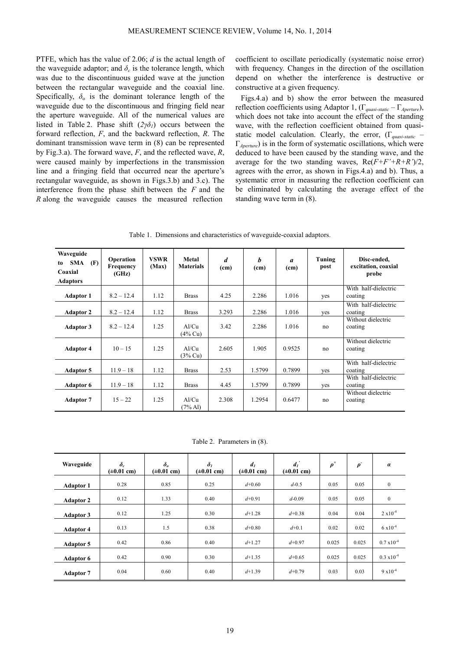PTFE, which has the value of 2.06; *d* is the actual length of the waveguide adaptor; and  $\delta_c$  is the tolerance length, which was due to the discontinuous guided wave at the junction between the rectangular waveguide and the coaxial line. Specifically,  $\delta_0$  is the dominant tolerance length of the waveguide due to the discontinuous and fringing field near the aperture waveguide. All of the numerical values are listed in Table 2. Phase shift  $(2\gamma\delta_l)$  occurs between the forward reflection, *F*, and the backward reflection, *R*. The dominant transmission wave term in (8) can be represented by Fig.3.a). The forward wave, *F*, and the reflected wave, *R*, were caused mainly by imperfections in the transmission line and a fringing field that occurred near the aperture's rectangular waveguide, as shown in Figs.3.b) and 3.c). The interference from the phase shift between the  $F$  and the *R* along the waveguide causes the measured reflection

coefficient to oscillate periodically (systematic noise error) with frequency. Changes in the direction of the oscillation depend on whether the interference is destructive or constructive at a given frequency.

Figs.4.a) and b) show the error between the measured reflection coefficients using Adaptor 1, (Γ*quasi-static* – Γ*Aperture*), which does not take into account the effect of the standing wave, with the reflection coefficient obtained from quasistatic model calculation. Clearly, the error, (Γ*quasi-static* – Γ*Aperture*) is in the form of systematic oscillations, which were deduced to have been caused by the standing wave, and the average for the two standing waves, Re(*F+F'+R+R'*)/2, agrees with the error, as shown in Figs.4.a) and b). Thus, a systematic error in measuring the reflection coefficient can be eliminated by calculating the average effect of the standing wave term in (8).

Table 1. Dimensions and characteristics of waveguide-coaxial adaptors.

| Waveguide<br><b>SMA</b><br>(F)<br>to<br>Coaxial<br><b>Adaptors</b> | Operation<br>Frequency<br>(GHz) | <b>VSWR</b><br>(Max) | Metal<br><b>Materials</b> | $\boldsymbol{d}$<br>(cm) | h<br>(cm) | $\boldsymbol{a}$<br>(c <sub>m</sub> ) | Tuning<br>post | Disc-ended,<br>excitation, coaxial<br>probe |
|--------------------------------------------------------------------|---------------------------------|----------------------|---------------------------|--------------------------|-----------|---------------------------------------|----------------|---------------------------------------------|
| <b>Adaptor 1</b>                                                   | $8.2 - 12.4$                    | 1.12                 | <b>Brass</b>              | 4.25                     | 2.286     | 1.016                                 | yes            | With half-dielectric<br>coating             |
| <b>Adaptor 2</b>                                                   | $8.2 - 12.4$                    | 1.12                 | <b>Brass</b>              | 3.293                    | 2.286     | 1.016                                 | yes            | With half-dielectric<br>coating             |
| <b>Adaptor 3</b>                                                   | $8.2 - 12.4$                    | 1.25                 | Al/Cu<br>(4% Cu)          | 3.42                     | 2.286     | 1.016                                 | no             | Without dielectric<br>coating               |
| <b>Adaptor 4</b>                                                   | $10 - 15$                       | 1.25                 | Al/Cu<br>(3% Cu)          | 2.605                    | 1.905     | 0.9525                                | no             | Without dielectric<br>coating               |
| <b>Adaptor 5</b>                                                   | $11.9 - 18$                     | 1.12                 | <b>Brass</b>              | 2.53                     | 1.5799    | 0.7899                                | ves            | With half-dielectric<br>coating             |
| <b>Adaptor 6</b>                                                   | $11.9 - 18$                     | 1.12                 | <b>Brass</b>              | 4.45                     | 1.5799    | 0.7899                                | yes            | With half-dielectric<br>coating             |
| <b>Adaptor 7</b>                                                   | $15 - 22$                       | 1.25                 | Al/Cu<br>$(7\%$ Al)       | 2.308                    | 1.2954    | 0.6477                                | no             | Without dielectric<br>coating               |

Table 2. Parameters in (8).

| Waveguide        | $\delta_c$<br>$(\pm 0.01$ cm) | $\delta_{\scriptscriptstyle{\theta}}$<br>$(\pm 0.01$ cm) | $\delta_I$<br>$(\pm 0.01$ cm) | d <sub>I</sub><br>$(\pm 0.01$ cm) | $d_i$<br>$(\pm 0.01$ cm) | $\rho^*$ | $\rho$ <sup>-</sup> | $\alpha$             |
|------------------|-------------------------------|----------------------------------------------------------|-------------------------------|-----------------------------------|--------------------------|----------|---------------------|----------------------|
| <b>Adaptor 1</b> | 0.28                          | 0.85                                                     | 0.25                          | $d+0.60$                          | $d - 0.5$                | 0.05     | 0.05                | $\bf{0}$             |
| <b>Adaptor 2</b> | 0.12                          | 1.33                                                     | 0.40                          | $d+0.91$                          | $d - 0.09$               | 0.05     | 0.05                | $\bf{0}$             |
| <b>Adaptor 3</b> | 0.12                          | 1.25                                                     | 0.30                          | $d+1.28$                          | $d+0.38$                 | 0.04     | 0.04                | $2 \times 10^{-4}$   |
| <b>Adaptor 4</b> | 0.13                          | 1.5                                                      | 0.38                          | $d+0.80$                          | $d+0.1$                  | 0.02     | 0.02                | $6 \times 10^{-4}$   |
| <b>Adaptor 5</b> | 0.42                          | 0.86                                                     | 0.40                          | $d+1.27$                          | $d+0.97$                 | 0.025    | 0.025               | $0.7 \times 10^{-4}$ |
| <b>Adaptor 6</b> | 0.42                          | 0.90                                                     | 0.30                          | $d+1.35$                          | $d+0.65$                 | 0.025    | 0.025               | $0.3 \times 10^{-4}$ |
| <b>Adaptor 7</b> | 0.04                          | 0.60                                                     | 0.40                          | $d+1.39$                          | $d+0.79$                 | 0.03     | 0.03                | $9 \times 10^{-4}$   |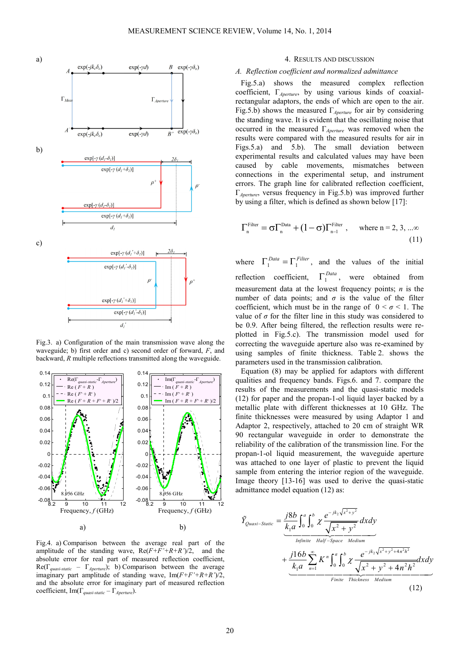

Fig.3. a) Configuration of the main transmission wave along the waveguide; b) first order and c) second order of forward, *F*, and backward, *R* multiple reflections transmitted along the waveguide.



Fig.4. a) Comparison between the average real part of the amplitude of the standing wave,  $Re(F+F'+R+R')/2$ , and the absolute error for real part of measured reflection coefficient, Re(Γ*quasi-static* – Γ*Aperture*); b) Comparison between the average imaginary part amplitude of standing wave, Im(*F+F'+R+R'*)/2, and the absolute error for imaginary part of measured reflection coefficient, Im(Γ*quasi-static* – Γ*Aperture*).

#### 4. RESULTS AND DISCUSSION

# *A. Reflection coefficient and normalized admittance*

Fig.5.a) shows the measured complex reflection coefficient, Γ*Aperture*, by using various kinds of coaxialrectangular adaptors, the ends of which are open to the air. Fig.5.b) shows the measured Γ*Aperture* for air by considering the standing wave. It is evident that the oscillating noise that occurred in the measured Γ*Aperture* was removed when the results were compared with the measured results for air in Figs.5.a) and 5.b). The small deviation between experimental results and calculated values may have been caused by cable movements, mismatches between connections in the experimental setup, and instrument errors. The graph line for calibrated reflection coefficient, Γ*Aperture*, versus frequency in Fig.5.b) was improved further by using a filter, which is defined as shown below [17]:

$$
\Gamma_n^{\text{Filter}} = \sigma \Gamma_n^{\text{Data}} + (1 - \sigma) \Gamma_{n-1}^{\text{Filter}} , \quad \text{where } n = 2, 3, \dots \infty
$$
\n(11)

where  $\Gamma_1^{Data} = \Gamma_1^{Filter}$ , and the values of the initial reflection coefficient,  $\Gamma_1^{Data}$ , were obtained from measurement data at the lowest frequency points; *n* is the number of data points; and  $\sigma$  is the value of the filter coefficient, which must be in the range of  $0 < \sigma < 1$ . The value of  $\sigma$  for the filter line in this study was considered to be 0.9. After being filtered, the reflection results were replotted in Fig.5.c). The transmission model used for correcting the waveguide aperture also was re-examined by using samples of finite thickness. Table 2. shows the parameters used in the transmission calibration.

Equation (8) may be applied for adaptors with different qualities and frequency bands. Figs.6. and 7. compare the results of the measurements and the quasi-static models (12) for paper and the propan-1-ol liquid layer backed by a metallic plate with different thicknesses at 10 GHz. The finite thicknesses were measured by using Adaptor 1 and Adaptor 2, respectively, attached to 20 cm of straight WR 90 rectangular waveguide in order to demonstrate the reliability of the calibration of the transmission line. For the propan-1-ol liquid measurement, the waveguide aperture was attached to one layer of plastic to prevent the liquid sample from entering the interior region of the waveguide. Image theory [13-16] was used to derive the quasi-static admittance model equation (12) as:

$$
\tilde{Y}_{Quasi-Static} = \underbrace{\frac{j8b}{k_1 a} \int_0^a \int_0^b \chi \frac{e^{-jk_2 \sqrt{x^2 + y^2}}}{\sqrt{x^2 + y^2}} dx dy}_{\text{Infinite } \text{Half-Space} \text{ Medium}} + \underbrace{\frac{j16b}{k_1 a} \sum_{n=1}^{\infty} K^n \int_0^a \int_0^b \chi \frac{e^{-jk_2 \sqrt{x^2 + y^2 + 4n^2 h^2}}}{\sqrt{x^2 + y^2 + 4n^2 h^2}}}{\text{Finite } \text{ Thickness} \text{ Medium}} dx dy
$$
\n(12)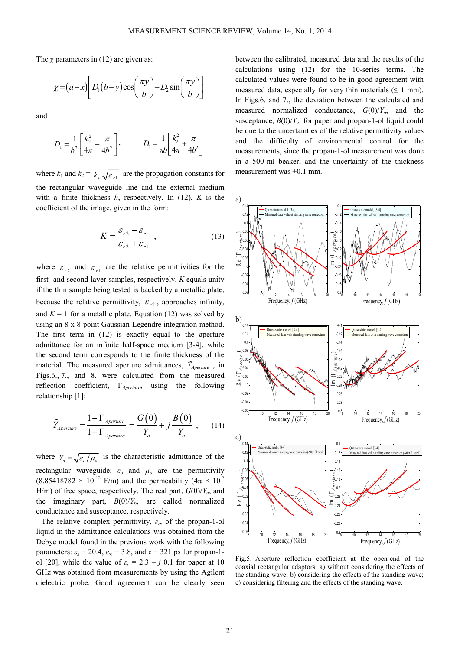The  $\chi$  parameters in (12) are given as:

$$
\chi = (a-x) \left[ D_1(b-y) \cos\left(\frac{\pi y}{b}\right) + D_2 \sin\left(\frac{\pi y}{b}\right) \right]
$$

and

$$
D_1 = \frac{1}{b^2} \left[ \frac{k_2^2}{4\pi} - \frac{\pi}{4b^2} \right], \qquad D_2 = \frac{1}{\pi b} \left[ \frac{k_2^2}{4\pi} + \frac{\pi}{4b^2} \right]
$$

where  $k_1$  and  $k_2 = k_{\circ} \sqrt{\varepsilon_{r_1}}$  are the propagation constants for the rectangular waveguide line and the external medium with a finite thickness *h*, respectively. In (12), *K* is the coefficient of the image, given in the form:

$$
K = \frac{\varepsilon_{r2} - \varepsilon_{r1}}{\varepsilon_{r2} + \varepsilon_{r1}} \tag{13}
$$

where  $\varepsilon_{r2}$  and  $\varepsilon_{r1}$  are the relative permittivities for the first- and second-layer samples, respectively. *K* equals unity if the thin sample being tested is backed by a metallic plate, because the relative permittivity,  $\varepsilon_{r2}$ , approaches infinity, and  $K = 1$  for a metallic plate. Equation (12) was solved by using an 8 x 8-point Gaussian-Legendre integration method. The first term in (12) is exactly equal to the aperture admittance for an infinite half-space medium [3-4], while the second term corresponds to the finite thickness of the material. The measured aperture admittances,  $\tilde{Y}_{\text{A}perture}$ , in Figs.6., 7., and 8. were calculated from the measured reflection coefficient, Γ*Aperture*, using the following relationship [1]:

$$
\tilde{Y}_{Aperture} = \frac{1 - \Gamma_{Aperture}}{1 + \Gamma_{Aperture}} = \frac{G(0)}{Y_o} + j \frac{B(0)}{Y_o} , \qquad (14)
$$

where  $Y_o = \sqrt{\frac{\varepsilon_o}{\mu_o}}$  is the characteristic admittance of the rectangular waveguide;  $\varepsilon_o$  and  $\mu_o$  are the permittivity  $(8.85418782 \times 10^{-12} \text{ F/m})$  and the permeability  $(4\pi \times 10^{-7} \text{ F/m})$ H/m) of free space, respectively. The real part,  $G(0)/Y_0$ , and the imaginary part,  $B(0)/Y_0$ , are called normalized conductance and susceptance, respectively.

The relative complex permittivity,  $\varepsilon_r$ , of the propan-1-ol liquid in the admittance calculations was obtained from the Debye model found in the previous work with the following parameters:  $\varepsilon$ <sub>*s*</sub> = 20.4,  $\varepsilon$ <sub>*∞*</sub> = 3.8, and  $\tau$  = 321 ps for propan-1ol [20], while the value of  $\varepsilon_r = 2.3 - j$  0.1 for paper at 10 GHz was obtained from measurements by using the Agilent dielectric probe. Good agreement can be clearly seen

between the calibrated, measured data and the results of the calculations using (12) for the 10-series terms. The calculated values were found to be in good agreement with measured data, especially for very thin materials ( $\leq 1$  mm). In Figs.6. and 7., the deviation between the calculated and measured normalized conductance,  $G(0)/Y_o$ , and the susceptance,  $B(0)/Y_o$ , for paper and propan-1-ol liquid could be due to the uncertainties of the relative permittivity values and the difficulty of environmental control for the measurements, since the propan-1-ol measurement was done in a 500-ml beaker, and the uncertainty of the thickness measurement was  $\pm 0.1$  mm.



Fig.5. Aperture reflection coefficient at the open-end of the coaxial rectangular adaptors: a) without considering the effects of the standing wave; b) considering the effects of the standing wave; c) considering filtering and the effects of the standing wave.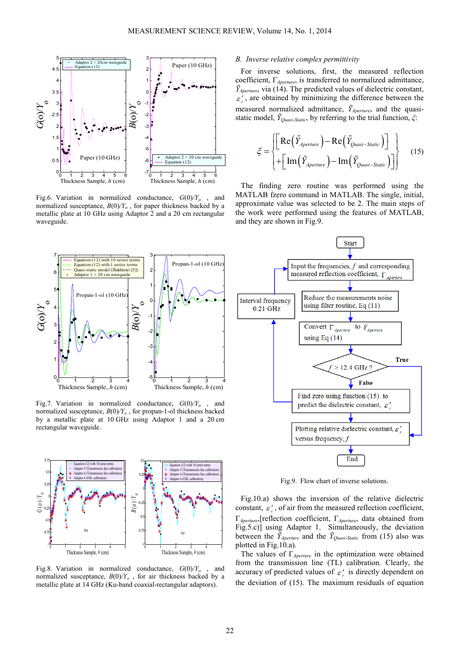

Fig.6. Variation in normalized conductance, *G*(0)*/Y<sup>o</sup>* , and normalized susceptance, *B*(0)*/Y<sup>o</sup>* , for paper thickness backed by a metallic plate at 10 GHz using Adaptor 2 and a 20 cm rectangular waveguide.

#### 0 1 2 3 4  $\overline{0}$ 1 2 3 4 5 6 7 Thickness Sample, *h* (cm) *G*(o)/ *Y*oEquation (12) with 10 series terms Equation (12) with 1 series terms Quasi-static model (Bakhtiari [5]) Adaptor 1 + 20 cm waveguide  $0 \t 1 \t 2 \t 3 \t 4$ -5 -4 -3 -2 -1  $\overline{0}$ 1 2 3 Thickness Sample, *h* (cm) *B*(o)/ *Y*oPropan-1-ol (10 GHz) Propan-1-ol (10 GHz

Fig.7. Variation in normalized conductance, *G*(0)*/Y<sup>o</sup>* , and normalized susceptance, *B*(0)*/Y<sup>o</sup>* , for propan-1-ol thickness backed by a metallic plate at 10 GHz using Adaptor 1 and a 20 cm rectangular waveguide.



Fig.8. Variation in normalized conductance, *G*(0)*/Y<sup>o</sup>* , and normalized susceptance,  $B(0)/Y_0$ , for air thickness backed by a metallic plate at 14 GHz (Ku-band coaxial-rectangular adaptors).

# *B. Inverse relative complex permittivity*

For inverse solutions, first, the measured reflection coefficient, Γ*Aperture*, is transferred to normalized admittance,  $\tilde{Y}_{Aperture}$ , via (14). The predicted values of dielectric constant,  $\varepsilon'$ , are obtained by minimizing the difference between the measured normalized admittance, *ỸAperture*, and the quasistatic model, *ỸQuasi-Static*, by referring to the trial function, *ξ*:

$$
\xi = \begin{cases} \left[ \text{Re}\left(\tilde{Y}_{Aperture}\right) - \text{Re}\left(\tilde{Y}_{Quasi-Static}\right) \right] \\ + \left[ \text{Im}\left(\tilde{Y}_{Aperture}\right) - \text{Im}\left(\tilde{Y}_{Quasi-Static}\right) \right] \end{cases}
$$
(15)

The finding zero routine was performed using the MATLAB fzero command in MATLAB. The single, initial, approximate value was selected to be 2. The main steps of the work were performed using the features of MATLAB, and they are shown in Fig.9.



Fig.9. Flow chart of inverse solutions.

Fig.10.a) shows the inversion of the relative dielectric constant,  $\varepsilon'_{r}$ , of air from the measured reflection coefficient, Γ*Aperture*,[reflection coefficient, Γ*Aperture*, data obtained from Fig.5.c)] using Adaptor 1. Simultaneously, the deviation between the  $\tilde{Y}_{Aperture}$  and the  $\tilde{Y}_{Ouasi-Static}$  from (15) also was plotted in Fig.10.a).

The values of Γ*Aperture* in the optimization were obtained from the transmission line (TL) calibration. Clearly, the accuracy of predicted values of  $\varepsilon'_{r}$  is directly dependent on the deviation of (15). The maximum residuals of equation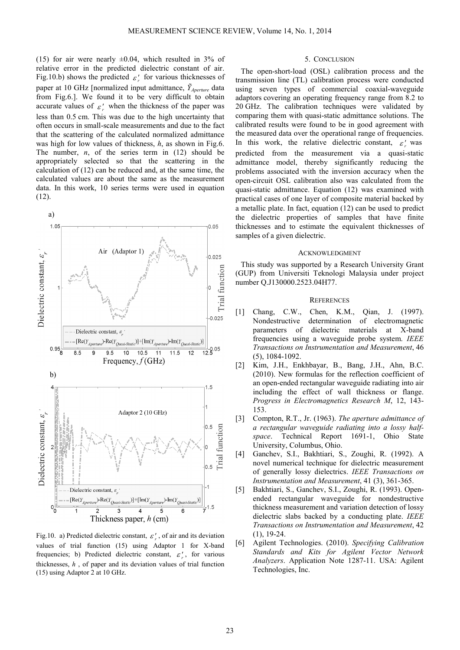(15) for air were nearly  $\pm 0.04$ , which resulted in 3% of relative error in the predicted dielectric constant of air. Fig.10.b) shows the predicted  $\varepsilon_r^r$  for various thicknesses of paper at 10 GHz [normalized input admittance, *ỸAperture* data from Fig.6.]. We found it to be very difficult to obtain accurate values of  $\varepsilon'$ , when the thickness of the paper was less than 0.5 cm. This was due to the high uncertainty that often occurs in small-scale measurements and due to the fact that the scattering of the calculated normalized admittance was high for low values of thickness, *h*, as shown in Fig.6. The number,  $n$ , of the series term in  $(12)$  should be appropriately selected so that the scattering in the calculation of (12) can be reduced and, at the same time, the calculated values are about the same as the measurement data. In this work, 10 series terms were used in equation (12).



Fig.10. a) Predicted dielectric constant,  $\varepsilon'_{r}$ , of air and its deviation values of trial function (15) using Adaptor 1 for X-band frequencies; b) Predicted dielectric constant,  $\varepsilon'_{r}$ , for various thicknesses, *h* , of paper and its deviation values of trial function (15) using Adaptor 2 at 10 GHz.

# 5. CONCLUSION

The open-short-load (OSL) calibration process and the transmission line (TL) calibration process were conducted using seven types of commercial coaxial-waveguide adaptors covering an operating frequency range from 8.2 to 20 GHz. The calibration techniques were validated by comparing them with quasi-static admittance solutions. The calibrated results were found to be in good agreement with the measured data over the operational range of frequencies. In this work, the relative dielectric constant,  $\varepsilon'_{r}$  was predicted from the measurement via a quasi-static admittance model, thereby significantly reducing the problems associated with the inversion accuracy when the open-circuit OSL calibration also was calculated from the quasi-static admittance. Equation (12) was examined with practical cases of one layer of composite material backed by a metallic plate. In fact, equation (12) can be used to predict the dielectric properties of samples that have finite thicknesses and to estimate the equivalent thicknesses of samples of a given dielectric.

#### ACKNOWLEDGMENT

This study was supported by a Research University Grant (GUP) from Universiti Teknologi Malaysia under project number Q.J130000.2523.04H77.

# **REFERENCES**

- [1] Chang, C.W., Chen, K.M., Qian, J. (1997). Nondestructive determination of electromagnetic parameters of dielectric materials at X-band frequencies using a waveguide probe system. *IEEE Transactions on Instrumentation and Measurement*, 46 (5), 1084-1092.
- [2] Kim, J.H., Enkhbayar, B., Bang, J.H., Ahn, B.C. (2010). New formulas for the reflection coefficient of an open-ended rectangular waveguide radiating into air including the effect of wall thickness or flange. *Progress in Electromagnetics Research M*, 12, 143- 153.
- [3] Compton, R.T., Jr. (1963). *The aperture admittance of a rectangular waveguide radiating into a lossy halfspace*. Technical Report 1691-1, Ohio State University, Columbus, Ohio.
- [4] Ganchev, S.I., Bakhtiari, S., Zoughi, R. (1992). A novel numerical technique for dielectric measurement of generally lossy dielectrics. *IEEE Transactions on Instrumentation and Measurement*, 41 (3), 361-365.
- [5] Bakhtiari, S., Ganchev, S.I., Zoughi, R. (1993). Openended rectangular waveguide for nondestructive thickness measurement and variation detection of lossy dielectric slabs backed by a conducting plate. *IEEE Transactions on Instrumentation and Measurement*, 42 (1), 19-24.
- [6] Agilent Technologies. (2010). *Specifying Calibration Standards and Kits for Agilent Vector Network Analyzers*. Application Note 1287-11. USA: Agilent Technologies, Inc.